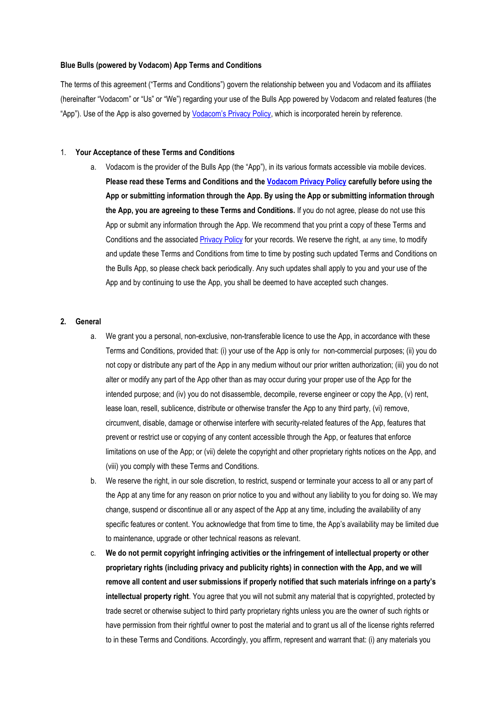#### **Blue Bulls (powered by Vodacom) App Terms and Conditions**

The terms of this agreement ("Terms and Conditions") govern the relationship between you and Vodacom and its affiliates (hereinafter "Vodacom" or "Us" or "We") regarding your use of the Bulls App powered by Vodacom and related features (the "App"). Use of the App is also governed by [Vodacom's Privacy Policy](https://myvodacom.secure.vodacom.co.za/vodacom/terms/privacy-policy), which is incorporated herein by reference.

#### 1. **Your Acceptance of these Terms and Conditions**

a. Vodacom is the provider of the Bulls App (the "App"), in its various formats accessible via mobile devices. **Please read these Terms and Conditions and the [Vodacom Privacy Policy](https://myvodacom.secure.vodacom.co.za/vodacom/terms/privacy-policy) carefully before using the App or submitting information through the App. By using the App or submitting information through the App, you are agreeing to these Terms and Conditions.** If you do not agree, please do not use this App or submit any information through the App. We recommend that you print a copy of these Terms and Conditions and the associated [Privacy Policy](https://myvodacom.secure.vodacom.co.za/vodacom/terms/privacy-policy) for your records. We reserve the right, at any time, to modify and update these Terms and Conditions from time to time by posting such updated Terms and Conditions on the Bulls App, so please check back periodically. Any such updates shall apply to you and your use of the App and by continuing to use the App, you shall be deemed to have accepted such changes.

### **2. General**

- a. We grant you a personal, non-exclusive, non-transferable licence to use the App, in accordance with these Terms and Conditions, provided that: (i) your use of the App is only for non-commercial purposes; (ii) you do not copy or distribute any part of the App in any medium without our prior written authorization; (iii) you do not alter or modify any part of the App other than as may occur during your proper use of the App for the intended purpose; and (iv) you do not disassemble, decompile, reverse engineer or copy the App, (v) rent, lease loan, resell, sublicence, distribute or otherwise transfer the App to any third party, (vi) remove, circumvent, disable, damage or otherwise interfere with security-related features of the App, features that prevent or restrict use or copying of any content accessible through the App, or features that enforce limitations on use of the App; or (vii) delete the copyright and other proprietary rights notices on the App, and (viii) you comply with these Terms and Conditions.
- b. We reserve the right, in our sole discretion, to restrict, suspend or terminate your access to all or any part of the App at any time for any reason on prior notice to you and without any liability to you for doing so. We may change, suspend or discontinue all or any aspect of the App at any time, including the availability of any specific features or content. You acknowledge that from time to time, the App's availability may be limited due to maintenance, upgrade or other technical reasons as relevant.
- c. **We do not permit copyright infringing activities or the infringement of intellectual property or other proprietary rights (including privacy and publicity rights) in connection with the App, and we will remove all content and user submissions if properly notified that such materials infringe on a party's intellectual property right**. You agree that you will not submit any material that is copyrighted, protected by trade secret or otherwise subject to third party proprietary rights unless you are the owner of such rights or have permission from their rightful owner to post the material and to grant us all of the license rights referred to in these Terms and Conditions. Accordingly, you affirm, represent and warrant that: (i) any materials you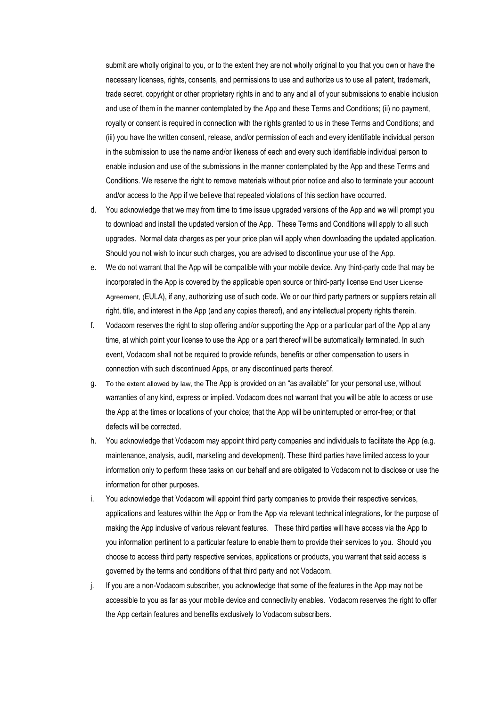submit are wholly original to you, or to the extent they are not wholly original to you that you own or have the necessary licenses, rights, consents, and permissions to use and authorize us to use all patent, trademark, trade secret, copyright or other proprietary rights in and to any and all of your submissions to enable inclusion and use of them in the manner contemplated by the App and these Terms and Conditions; (ii) no payment, royalty or consent is required in connection with the rights granted to us in these Terms and Conditions; and (iii) you have the written consent, release, and/or permission of each and every identifiable individual person in the submission to use the name and/or likeness of each and every such identifiable individual person to enable inclusion and use of the submissions in the manner contemplated by the App and these Terms and Conditions. We reserve the right to remove materials without prior notice and also to terminate your account and/or access to the App if we believe that repeated violations of this section have occurred.

- d. You acknowledge that we may from time to time issue upgraded versions of the App and we will prompt you to download and install the updated version of the App. These Terms and Conditions will apply to all such upgrades. Normal data charges as per your price plan will apply when downloading the updated application. Should you not wish to incur such charges, you are advised to discontinue your use of the App.
- e. We do not warrant that the App will be compatible with your mobile device. Any third-party code that may be incorporated in the App is covered by the applicable open source or third-party license End User License Agreement, (EULA), if any, authorizing use of such code. We or our third party partners or suppliers retain all right, title, and interest in the App (and any copies thereof), and any intellectual property rights therein.
- f. Vodacom reserves the right to stop offering and/or supporting the App or a particular part of the App at any time, at which point your license to use the App or a part thereof will be automatically terminated. In such event, Vodacom shall not be required to provide refunds, benefits or other compensation to users in connection with such discontinued Apps, or any discontinued parts thereof.
- g. To the extent allowed by law, the The App is provided on an "as available" for your personal use, without warranties of any kind, express or implied. Vodacom does not warrant that you will be able to access or use the App at the times or locations of your choice; that the App will be uninterrupted or error-free; or that defects will be corrected.
- h. You acknowledge that Vodacom may appoint third party companies and individuals to facilitate the App (e.g. maintenance, analysis, audit, marketing and development). These third parties have limited access to your information only to perform these tasks on our behalf and are obligated to Vodacom not to disclose or use the information for other purposes.
- i. You acknowledge that Vodacom will appoint third party companies to provide their respective services, applications and features within the App or from the App via relevant technical integrations, for the purpose of making the App inclusive of various relevant features. These third parties will have access via the App to you information pertinent to a particular feature to enable them to provide their services to you. Should you choose to access third party respective services, applications or products, you warrant that said access is governed by the terms and conditions of that third party and not Vodacom.
- j. If you are a non-Vodacom subscriber, you acknowledge that some of the features in the App may not be accessible to you as far as your mobile device and connectivity enables. Vodacom reserves the right to offer the App certain features and benefits exclusively to Vodacom subscribers.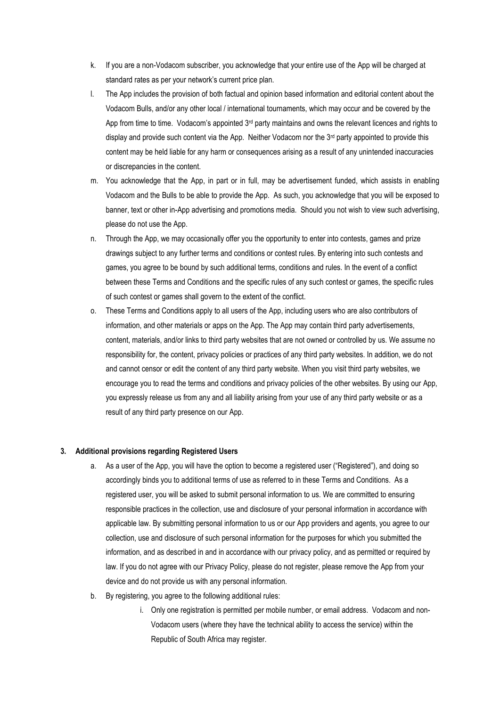- k. If you are a non-Vodacom subscriber, you acknowledge that your entire use of the App will be charged at standard rates as per your network's current price plan.
- l. The App includes the provision of both factual and opinion based information and editorial content about the Vodacom Bulls, and/or any other local / international tournaments, which may occur and be covered by the App from time to time. Vodacom's appointed  $3<sup>rd</sup>$  party maintains and owns the relevant licences and rights to display and provide such content via the App. Neither Vodacom nor the  $3<sup>rd</sup>$  party appointed to provide this content may be held liable for any harm or consequences arising as a result of any unintended inaccuracies or discrepancies in the content.
- m. You acknowledge that the App, in part or in full, may be advertisement funded, which assists in enabling Vodacom and the Bulls to be able to provide the App. As such, you acknowledge that you will be exposed to banner, text or other in-App advertising and promotions media. Should you not wish to view such advertising, please do not use the App.
- n. Through the App, we may occasionally offer you the opportunity to enter into contests, games and prize drawings subject to any further terms and conditions or contest rules. By entering into such contests and games, you agree to be bound by such additional terms, conditions and rules. In the event of a conflict between these Terms and Conditions and the specific rules of any such contest or games, the specific rules of such contest or games shall govern to the extent of the conflict.
- o. These Terms and Conditions apply to all users of the App, including users who are also contributors of information, and other materials or apps on the App. The App may contain third party advertisements, content, materials, and/or links to third party websites that are not owned or controlled by us. We assume no responsibility for, the content, privacy policies or practices of any third party websites. In addition, we do not and cannot censor or edit the content of any third party website. When you visit third party websites, we encourage you to read the terms and conditions and privacy policies of the other websites. By using our App, you expressly release us from any and all liability arising from your use of any third party website or as a result of any third party presence on our App.

#### **3. Additional provisions regarding Registered Users**

- a. As a user of the App, you will have the option to become a registered user ("Registered"), and doing so accordingly binds you to additional terms of use as referred to in these Terms and Conditions. As a registered user, you will be asked to submit personal information to us. We are committed to ensuring responsible practices in the collection, use and disclosure of your personal information in accordance with applicable law. By submitting personal information to us or our App providers and agents, you agree to our collection, use and disclosure of such personal information for the purposes for which you submitted the information, and as described in and in accordance with our privacy policy, and as permitted or required by law. If you do not agree with our Privacy Policy, please do not register, please remove the App from your device and do not provide us with any personal information.
- b. By registering, you agree to the following additional rules:
	- i. Only one registration is permitted per mobile number, or email address. Vodacom and non-Vodacom users (where they have the technical ability to access the service) within the Republic of South Africa may register.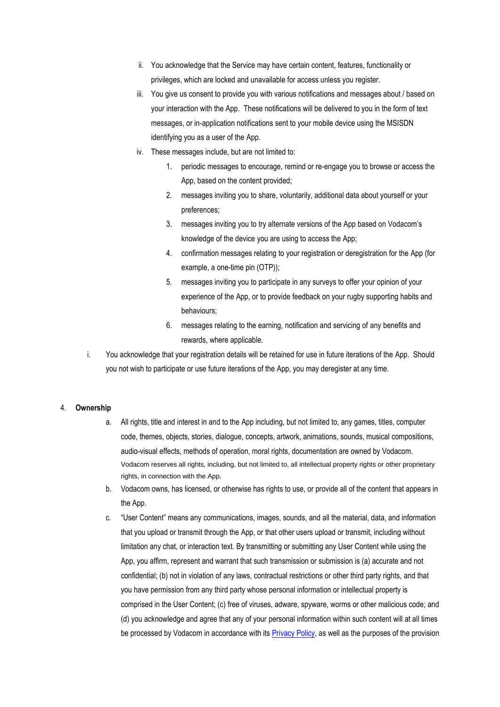- ii. You acknowledge that the Service may have certain content, features, functionality or privileges, which are locked and unavailable for access unless you register.
- iii. You give us consent to provide you with various notifications and messages about / based on your interaction with the App. These notifications will be delivered to you in the form of text messages, or in-application notifications sent to your mobile device using the MSISDN identifying you as a user of the App.
- iv. These messages include, but are not limited to:
	- 1. periodic messages to encourage, remind or re-engage you to browse or access the App, based on the content provided;
	- 2. messages inviting you to share, voluntarily, additional data about yourself or your preferences;
	- 3. messages inviting you to try alternate versions of the App based on Vodacom's knowledge of the device you are using to access the App;
	- 4. confirmation messages relating to your registration or deregistration for the App (for example, a one-time pin (OTP));
	- 5. messages inviting you to participate in any surveys to offer your opinion of your experience of the App, or to provide feedback on your rugby supporting habits and behaviours;
	- 6. messages relating to the earning, notification and servicing of any benefits and rewards, where applicable.
- i. You acknowledge that your registration details will be retained for use in future iterations of the App. Should you not wish to participate or use future iterations of the App, you may deregister at any time.

### 4. **Ownership**

- a. All rights, title and interest in and to the App including, but not limited to, any games, titles, computer code, themes, objects, stories, dialogue, concepts, artwork, animations, sounds, musical compositions, audio-visual effects, methods of operation, moral rights, documentation are owned by Vodacom. Vodacom reserves all rights, including, but not limited to, all intellectual property rights or other proprietary rights, in connection with the App.
- b. Vodacom owns, has licensed, or otherwise has rights to use, or provide all of the content that appears in the App.
- c. "User Content" means any communications, images, sounds, and all the material, data, and information that you upload or transmit through the App, or that other users upload or transmit, including without limitation any chat, or interaction text. By transmitting or submitting any User Content while using the App, you affirm, represent and warrant that such transmission or submission is (a) accurate and not confidential; (b) not in violation of any laws, contractual restrictions or other third party rights, and that you have permission from any third party whose personal information or intellectual property is comprised in the User Content; (c) free of viruses, adware, spyware, worms or other malicious code; and (d) you acknowledge and agree that any of your personal information within such content will at all times be processed by Vodacom in accordance with its [Privacy Policy,](https://myvodacom.secure.vodacom.co.za/vodacom/terms/privacy-policy) as well as the purposes of the provision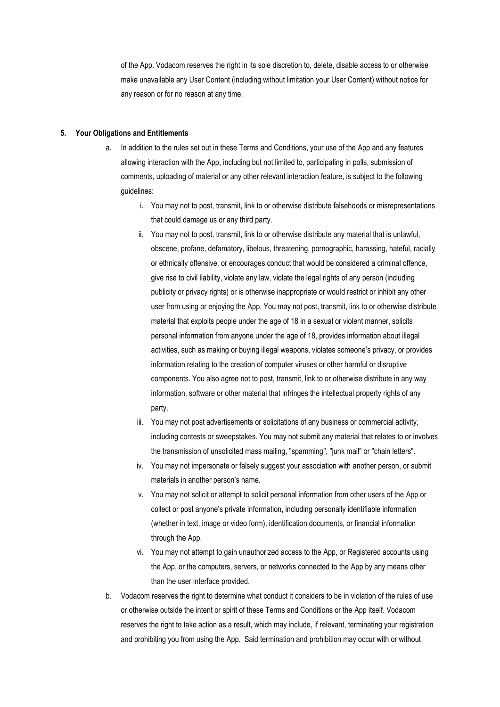of the App. Vodacom reserves the right in its sole discretion to, delete, disable access to or otherwise make unavailable any User Content (including without limitation your User Content) without notice for any reason or for no reason at any time.

#### **5. Your Obligations and Entitlements**

- a. In addition to the rules set out in these Terms and Conditions, your use of the App and any features allowing interaction with the App, including but not limited to, participating in polls, submission of comments, uploading of material or any other relevant interaction feature, is subject to the following guidelines:
	- i. You may not to post, transmit, link to or otherwise distribute falsehoods or misrepresentations that could damage us or any third party.
	- ii. You may not to post, transmit, link to or otherwise distribute any material that is unlawful, obscene, profane, defamatory, libelous, threatening, pornographic, harassing, hateful, racially or ethnically offensive, or encourages conduct that would be considered a criminal offence, give rise to civil liability, violate any law, violate the legal rights of any person (including publicity or privacy rights) or is otherwise inappropriate or would restrict or inhibit any other user from using or enjoying the App. You may not post, transmit, link to or otherwise distribute material that exploits people under the age of 18 in a sexual or violent manner, solicits personal information from anyone under the age of 18, provides information about illegal activities, such as making or buying illegal weapons, violates someone's privacy, or provides information relating to the creation of computer viruses or other harmful or disruptive components. You also agree not to post, transmit, link to or otherwise distribute in any way information, software or other material that infringes the intellectual property rights of any party.
	- iii. You may not post advertisements or solicitations of any business or commercial activity, including contests or sweepstakes. You may not submit any material that relates to or involves the transmission of unsolicited mass mailing, "spamming", "junk mail" or "chain letters".
	- iv. You may not impersonate or falsely suggest your association with another person, or submit materials in another person's name.
	- v. You may not solicit or attempt to solicit personal information from other users of the App or collect or post anyone's private information, including personally identifiable information (whether in text, image or video form), identification documents, or financial information through the App.
	- vi. You may not attempt to gain unauthorized access to the App, or Registered accounts using the App, or the computers, servers, or networks connected to the App by any means other than the user interface provided.
- b. Vodacom reserves the right to determine what conduct it considers to be in violation of the rules of use or otherwise outside the intent or spirit of these Terms and Conditions or the App itself. Vodacom reserves the right to take action as a result, which may include, if relevant, terminating your registration and prohibiting you from using the App. Said termination and prohibition may occur with or without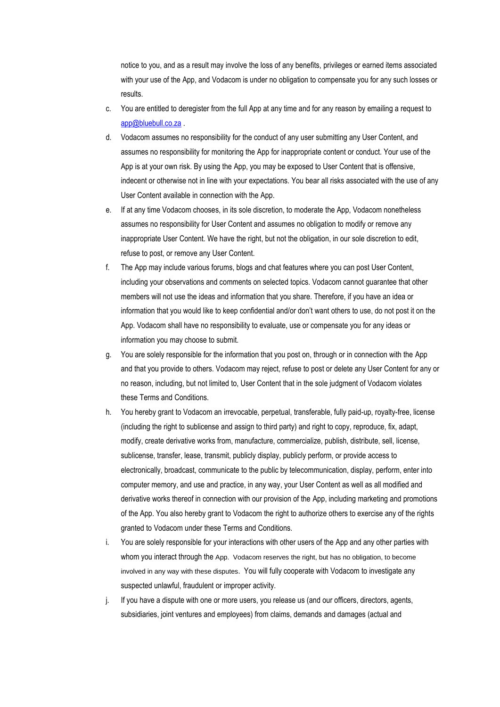notice to you, and as a result may involve the loss of any benefits, privileges or earned items associated with your use of the App, and Vodacom is under no obligation to compensate you for any such losses or results.

- c. You are entitled to deregister from the full App at any time and for any reason by emailing a request to [app@bluebull.co.za](mailto:app@bluebull.co.za) .
- d. Vodacom assumes no responsibility for the conduct of any user submitting any User Content, and assumes no responsibility for monitoring the App for inappropriate content or conduct. Your use of the App is at your own risk. By using the App, you may be exposed to User Content that is offensive, indecent or otherwise not in line with your expectations. You bear all risks associated with the use of any User Content available in connection with the App.
- e. If at any time Vodacom chooses, in its sole discretion, to moderate the App, Vodacom nonetheless assumes no responsibility for User Content and assumes no obligation to modify or remove any inappropriate User Content. We have the right, but not the obligation, in our sole discretion to edit, refuse to post, or remove any User Content.
- f. The App may include various forums, blogs and chat features where you can post User Content, including your observations and comments on selected topics. Vodacom cannot guarantee that other members will not use the ideas and information that you share. Therefore, if you have an idea or information that you would like to keep confidential and/or don't want others to use, do not post it on the App. Vodacom shall have no responsibility to evaluate, use or compensate you for any ideas or information you may choose to submit.
- g. You are solely responsible for the information that you post on, through or in connection with the App and that you provide to others. Vodacom may reject, refuse to post or delete any User Content for any or no reason, including, but not limited to, User Content that in the sole judgment of Vodacom violates these Terms and Conditions.
- h. You hereby grant to Vodacom an irrevocable, perpetual, transferable, fully paid-up, royalty-free, license (including the right to sublicense and assign to third party) and right to copy, reproduce, fix, adapt, modify, create derivative works from, manufacture, commercialize, publish, distribute, sell, license, sublicense, transfer, lease, transmit, publicly display, publicly perform, or provide access to electronically, broadcast, communicate to the public by telecommunication, display, perform, enter into computer memory, and use and practice, in any way, your User Content as well as all modified and derivative works thereof in connection with our provision of the App, including marketing and promotions of the App. You also hereby grant to Vodacom the right to authorize others to exercise any of the rights granted to Vodacom under these Terms and Conditions.
- i. You are solely responsible for your interactions with other users of the App and any other parties with whom you interact through the App. Vodacom reserves the right, but has no obligation, to become involved in any way with these disputes. You will fully cooperate with Vodacom to investigate any suspected unlawful, fraudulent or improper activity.
- j. If you have a dispute with one or more users, you release us (and our officers, directors, agents, subsidiaries, joint ventures and employees) from claims, demands and damages (actual and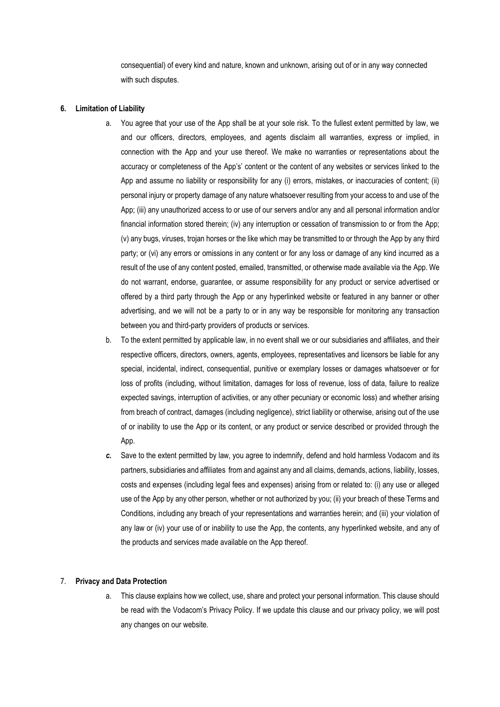consequential) of every kind and nature, known and unknown, arising out of or in any way connected with such disputes.

#### **6. Limitation of Liability**

- a. You agree that your use of the App shall be at your sole risk. To the fullest extent permitted by law, we and our officers, directors, employees, and agents disclaim all warranties, express or implied, in connection with the App and your use thereof. We make no warranties or representations about the accuracy or completeness of the App's' content or the content of any websites or services linked to the App and assume no liability or responsibility for any (i) errors, mistakes, or inaccuracies of content; (ii) personal injury or property damage of any nature whatsoever resulting from your access to and use of the App; (iii) any unauthorized access to or use of our servers and/or any and all personal information and/or financial information stored therein; (iv) any interruption or cessation of transmission to or from the App; (v) any bugs, viruses, trojan horses or the like which may be transmitted to or through the App by any third party; or (vi) any errors or omissions in any content or for any loss or damage of any kind incurred as a result of the use of any content posted, emailed, transmitted, or otherwise made available via the App. We do not warrant, endorse, guarantee, or assume responsibility for any product or service advertised or offered by a third party through the App or any hyperlinked website or featured in any banner or other advertising, and we will not be a party to or in any way be responsible for monitoring any transaction between you and third-party providers of products or services.
- b. To the extent permitted by applicable law, in no event shall we or our subsidiaries and affiliates, and their respective officers, directors, owners, agents, employees, representatives and licensors be liable for any special, incidental, indirect, consequential, punitive or exemplary losses or damages whatsoever or for loss of profits (including, without limitation, damages for loss of revenue, loss of data, failure to realize expected savings, interruption of activities, or any other pecuniary or economic loss) and whether arising from breach of contract, damages (including negligence), strict liability or otherwise, arising out of the use of or inability to use the App or its content, or any product or service described or provided through the App.
- *c.* Save to the extent permitted by law, you agree to indemnify, defend and hold harmless Vodacom and its partners, subsidiaries and affiliates from and against any and all claims, demands, actions, liability, losses, costs and expenses (including legal fees and expenses) arising from or related to: (i) any use or alleged use of the App by any other person, whether or not authorized by you; (ii) your breach of these Terms and Conditions, including any breach of your representations and warranties herein; and (iii) your violation of any law or (iv) your use of or inability to use the App, the contents, any hyperlinked website, and any of the products and services made available on the App thereof.

#### 7. **Privacy and Data Protection**

a. This clause explains how we collect, use, share and protect your personal information. This clause should be read with the [Vodacom's Privacy Policy](http://www.vodacom.com/com/main/privacypolicy). If we update this clause and our privacy policy, we will post any changes on our website.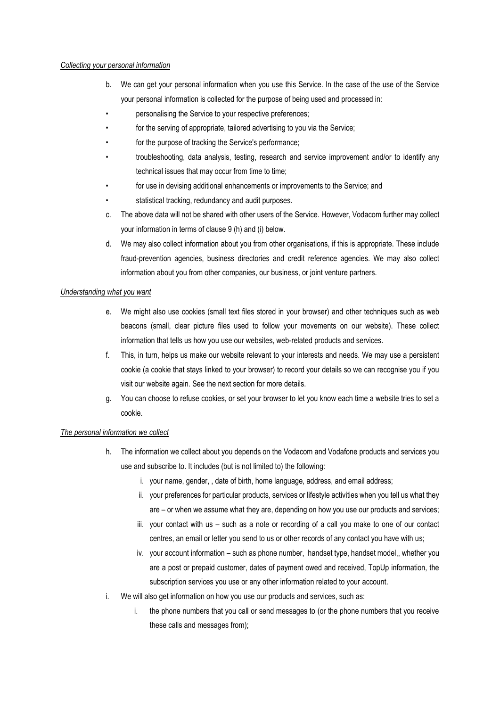### *Collecting your personal information*

- b. We can get your personal information when you use this Service. In the case of the use of the Service your personal information is collected for the purpose of being used and processed in:
- personalising the Service to your respective preferences;
- for the serving of appropriate, tailored advertising to you via the Service;
- for the purpose of tracking the Service's performance;
- troubleshooting, data analysis, testing, research and service improvement and/or to identify any technical issues that may occur from time to time;
- for use in devising additional enhancements or improvements to the Service; and
- statistical tracking, redundancy and audit purposes.
- c. The above data will not be shared with other users of the Service. However, Vodacom further may collect your information in terms of clause 9 (h) and (i) below.
- d. We may also collect information about you from other organisations, if this is appropriate. These include fraud-prevention agencies, business directories and credit reference agencies. We may also collect information about you from other companies, our business, or joint venture partners.

### *Understanding what you want*

- e. We might also use cookies (small text files stored in your browser) and other techniques such as web beacons (small, clear picture files used to follow your movements on our website). These collect information that tells us how you use our websites, web-related products and services.
- f. This, in turn, helps us make our website relevant to your interests and needs. We may use a persistent cookie (a cookie that stays linked to your browser) to record your details so we can recognise you if you visit our website again. See the next section for more details.
- g. You can choose to refuse cookies, or set your browser to let you know each time a website tries to set a cookie.

### *The personal information we collect*

- h. The information we collect about you depends on the Vodacom and Vodafone products and services you use and subscribe to. It includes (but is not limited to) the following:
	- i. your name, gender, , date of birth, home language, address, and email address;
	- ii. your preferences for particular products, services or lifestyle activities when you tell us what they are – or when we assume what they are, depending on how you use our products and services;
	- iii. your contact with us such as a note or recording of a call you make to one of our contact centres, an email or letter you send to us or other records of any contact you have with us;
	- iv. your account information such as phone number, handset type, handset model,, whether you are a post or prepaid customer, dates of payment owed and received, TopUp information, the subscription services you use or any other information related to your account.
- i. We will also get information on how you use our products and services, such as:
	- i. the phone numbers that you call or send messages to (or the phone numbers that you receive these calls and messages from);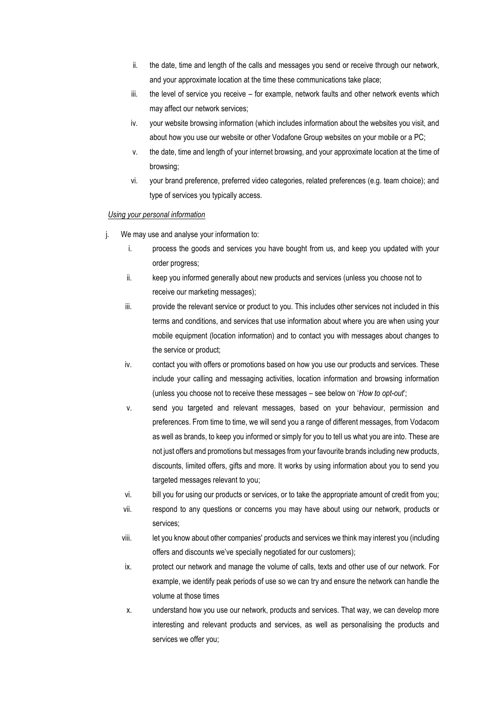- ii. the date, time and length of the calls and messages you send or receive through our network, and your approximate location at the time these communications take place;
- iii. the level of service you receive for example, network faults and other network events which may affect our network services;
- iv. your website browsing information (which includes information about the websites you visit, and about how you use our website or other Vodafone Group websites on your mobile or a PC;
- v. the date, time and length of your internet browsing, and your approximate location at the time of browsing;
- vi. your brand preference, preferred video categories, related preferences (e.g. team choice); and type of services you typically access.

## *Using your personal information*

- j. We may use and analyse your information to:
	- i. process the goods and services you have bought from us, and keep you updated with your order progress;
	- ii. keep you informed generally about new products and services (unless you choose not to receive our marketing messages);
	- iii. provide the relevant service or product to you. This includes other services not included in this terms and conditions, and services that use information about where you are when using your mobile equipment (location information) and to contact you with messages about changes to the service or product;
	- iv. contact you with offers or promotions based on how you use our products and services. These include your calling and messaging activities, location information and browsing information (unless you choose not to receive these messages – see below on '*How to opt-out*';
	- v. send you targeted and relevant messages, based on your behaviour, permission and preferences. From time to time, we will send you a range of different messages, from Vodacom as well as brands, to keep you informed or simply for you to tell us what you are into. These are not just offers and promotions but messages from your favourite brands including new products, discounts, limited offers, gifts and more. It works by using information about you to send you targeted messages relevant to you;
	- vi. bill you for using our products or services, or to take the appropriate amount of credit from you;
	- vii. respond to any questions or concerns you may have about using our network, products or services;
	- viii. let you know about other companies' products and services we think may interest you (including offers and discounts we've specially negotiated for our customers);
	- ix. protect our network and manage the volume of calls, texts and other use of our network. For example, we identify peak periods of use so we can try and ensure the network can handle the volume at those times
	- x. understand how you use our network, products and services. That way, we can develop more interesting and relevant products and services, as well as personalising the products and services we offer you;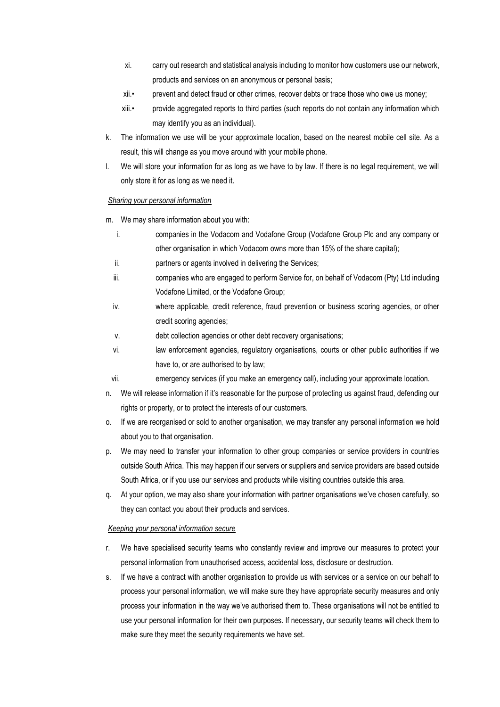- xi. carry out research and statistical analysis including to monitor how customers use our network, products and services on an anonymous or personal basis;
- xii.• prevent and detect fraud or other crimes, recover debts or trace those who owe us money;
- xiii.• provide aggregated reports to third parties (such reports do not contain any information which may identify you as an individual).
- k. The information we use will be your approximate location, based on the nearest mobile cell site. As a result, this will change as you move around with your mobile phone.
- l. We will store your information for as long as we have to by law. If there is no legal requirement, we will only store it for as long as we need it.

### *Sharing your personal information*

m. We may share information about you with:

- i. companies in the Vodacom and Vodafone Group (Vodafone Group Plc and any company or other organisation in which Vodacom owns more than 15% of the share capital);
- ii. partners or agents involved in delivering the Services;
- iii. companies who are engaged to perform Service for, on behalf of Vodacom (Pty) Ltd including Vodafone Limited, or the Vodafone Group;
- iv. where applicable, credit reference, fraud prevention or business scoring agencies, or other credit scoring agencies;
- v. debt collection agencies or other debt recovery organisations;
- vi. law enforcement agencies, regulatory organisations, courts or other public authorities if we have to, or are authorised to by law;
- vii. emergency services (if you make an emergency call), including your approximate location.
- n. We will release information if it's reasonable for the purpose of protecting us against fraud, defending our rights or property, or to protect the interests of our customers.
- o. If we are reorganised or sold to another organisation, we may transfer any personal information we hold about you to that organisation.
- p. We may need to transfer your information to other group companies or service providers in countries outside South Africa. This may happen if our servers or suppliers and service providers are based outside South Africa, or if you use our services and products while visiting countries outside this area.
- q. At your option, we may also share your information with partner organisations we've chosen carefully, so they can contact you about their products and services.

### *Keeping your personal information secure*

- r. We have specialised security teams who constantly review and improve our measures to protect your personal information from unauthorised access, accidental loss, disclosure or destruction.
- s. If we have a contract with another organisation to provide us with services or a service on our behalf to process your personal information, we will make sure they have appropriate security measures and only process your information in the way we've authorised them to. These organisations will not be entitled to use your personal information for their own purposes. If necessary, our security teams will check them to make sure they meet the security requirements we have set.